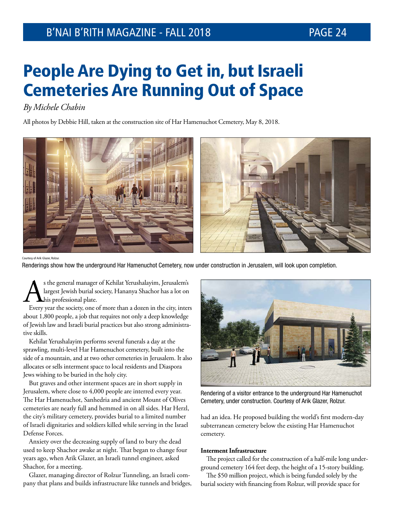# People Are Dying to Get in, but Israeli Cemeteries Are Running Out of Space

*By Michele Chabin*

All photos by Debbie Hill, taken at the construction site of Har Hamenuchot Cemetery, May 8, 2018.



Courtesy of Arik Glazer, Rolzur.

Renderings show how the underground Har Hamenuchot Cemetery, now under construction in Jerusalem, will look upon completion.

s the general manager of Kehilat Yerushalayim, Jerusalem's<br>largest Jewish burial society, Hananya Shachor has a lot on<br>Every year the society, one of more than a dozen in the city, interlargest Jewish burial society, Hananya Shachor has a lot on his professional plate.

Every year the society, one of more than a dozen in the city, inters about 1,800 people, a job that requires not only a deep knowledge of Jewish law and Israeli burial practices but also strong administrative skills.

Kehilat Yerushalayim performs several funerals a day at the sprawling, multi-level Har Hamenuchot cemetery, built into the side of a mountain, and at two other cemeteries in Jerusalem. It also allocates or sells interment space to local residents and Diaspora Jews wishing to be buried in the holy city.

But graves and other interment spaces are in short supply in Jerusalem, where close to 4,000 people are interred every year. The Har Hamenuchot, Sanhedria and ancient Mount of Olives cemeteries are nearly full and hemmed in on all sides. Har Herzl, the city's military cemetery, provides burial to a limited number of Israeli dignitaries and soldiers killed while serving in the Israel Defense Forces.

Anxiety over the decreasing supply of land to bury the dead used to keep Shachor awake at night. That began to change four years ago, when Arik Glazer, an Israeli tunnel engineer, asked Shachor, for a meeting.

Glazer, managing director of Rolzur Tunneling, an Israeli company that plans and builds infrastructure like tunnels and bridges,



Rendering of a visitor entrance to the underground Har Hamenuchot Cemetery, under construction. Courtesy of Arik Glazer, Rolzur.

had an idea. He proposed building the world's first modern-day subterranean cemetery below the existing Har Hamenuchot cemetery.

### **Interment Infrastructure**

The project called for the construction of a half-mile long underground cemetery 164 feet deep, the height of a 15-story building.

The \$50 million project, which is being funded solely by the burial society with financing from Rolzur, will provide space for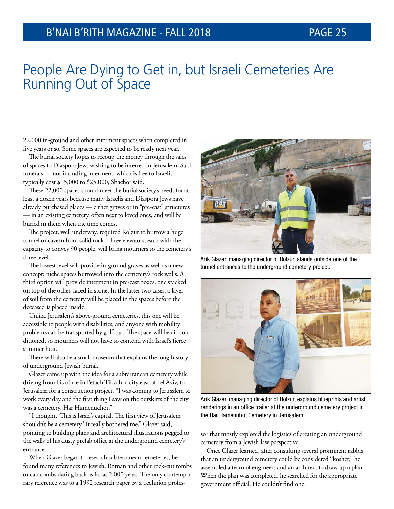## People Are Dying to Get in, but Israeli Cemeteries Are Running Out of Space

22,000 in-ground and other interment spaces when completed in five years or so. Some spaces are expected to be ready next year.

The burial society hopes to recoup the money through the sales of spaces to Diaspora Jews wishing to be interred in Jerusalem. Such funerals — not including interment, which is free to Israelis typically cost \$15,000 to \$25,000, Shachor said.

These 22,000 spaces should meet the burial society's needs for at least a dozen years because many Israelis and Diaspora Jews have already purchased places — either graves or in "pre-cast" structures — in an existing cemetery, often next to loved ones, and will be buried in them when the time comes.

The project, well underway, required Rolzur to burrow a huge tunnel or cavern from solid rock. Three elevators, each with the capacity to convey 90 people, will bring mourners to the cemetery's three levels.

The lowest level will provide in-ground graves as well as a new concept: niche spaces burrowed into the cemetery's rock walls. A third option will provide interment in pre-cast boxes, one stacked on top of the other, faced in stone. In the latter two cases, a layer of soil from the cemetery will be placed in the spaces before the deceased is placed inside.

Unlike Jerusalem's above-ground cemeteries, this one will be accessible to people with disabilities, and anyone with mobility problems can be transported by golf cart. The space will be air-conditioned, so mourners will not have to contend with Israel's fierce summer heat.

There will also be a small museum that explains the long history of underground Jewish burial.

Glazer came up with the idea for a subterranean cemetery while driving from his office in Petach Tikvah, a city east of Tel Aviv, to Jerusalem for a construction project. "I was coming to Jerusalem to work every day and the first thing I saw on the outskirts of the city was a cemetery, Har Hamenuchot."

"I thought, 'This is Israel's capital. The first view of Jerusalem shouldn't be a cemetery.' It really bothered me," Glazer said, pointing to building plans and architectural illustrations pegged to the walls of his dusty prefab office at the underground cemetery's entrance.

When Glazer began to research subterranean cemeteries, he found many references to Jewish, Roman and other rock-cut tombs or catacombs dating back as far as 2,000 years. The only contemporary reference was to a 1992 research paper by a Technion profes-



Arik Glazer, managing director of Rolzur, stands outside one of the tunnel entrances to the underground cemetery project.



Arik Glazer, managing director of Rolzur, explains blueprints and artist renderings in an office trailer at the underground cemetery project in the Har Hamenuhot Cemetery in Jerusalem.

sor that mostly explored the logistics of creating an underground cemetery from a Jewish law perspective.

Once Glazer learned, after consulting several prominent rabbis, that an underground cemetery could be considered "kosher," he assembled a team of engineers and an architect to draw up a plan. When the plan was completed, he searched for the appropriate government official. He couldn't find one.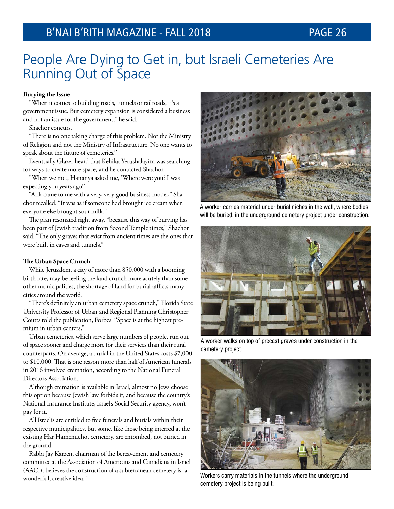## People Are Dying to Get in, but Israeli Cemeteries Are Running Out of Space

### **Burying the Issue**

"When it comes to building roads, tunnels or railroads, it's a government issue. But cemetery expansion is considered a business and not an issue for the government," he said.

Shachor concurs.

"There is no one taking charge of this problem. Not the Ministry of Religion and not the Ministry of Infrastructure. No one wants to speak about the future of cemeteries."

Eventually Glazer heard that Kehilat Yerushalayim was searching for ways to create more space, and he contacted Shachor.

"When we met, Hananya asked me, 'Where were you? I was expecting you years ago!'"

"Arik came to me with a very, very good business model," Shachor recalled. "It was as if someone had brought ice cream when everyone else brought sour milk."

The plan resonated right away, "because this way of burying has been part of Jewish tradition from Second Temple times," Shachor said. "The only graves that exist from ancient times are the ones that were built in caves and tunnels."

### **The Urban Space Crunch**

While Jerusalem, a city of more than 850,000 with a booming birth rate, may be feeling the land crunch more acutely than some other municipalities, the shortage of land for burial afflicts many cities around the world.

"There's definitely an urban cemetery space crunch," Florida State University Professor of Urban and Regional Planning Christopher Coutts told the publication, Forbes. "Space is at the highest premium in urban centers."

Urban cemeteries, which serve large numbers of people, run out of space sooner and charge more for their services than their rural counterparts. On average, a burial in the United States costs \$7,000 to \$10,000. That is one reason more than half of American funerals in 2016 involved cremation, according to the National Funeral Directors Association.

Although cremation is available in Israel, almost no Jews choose this option because Jewish law forbids it, and because the country's National Insurance Institute, Israel's Social Security agency, won't pay for it.

All Israelis are entitled to free funerals and burials within their respective municipalities, but some, like those being interred at the existing Har Hamenuchot cemetery, are entombed, not buried in the ground.

Rabbi Jay Karzen, chairman of the bereavement and cemetery committee at the Association of Americans and Canadians in Israel (AACI), believes the construction of a subterranean cemetery is "a wonderful, creative idea."



A worker carries material under burial niches in the wall, where bodies will be buried, in the underground cemetery project under construction.



A worker walks on top of precast graves under construction in the cemetery project.



Workers carry materials in the tunnels where the underground cemetery project is being built.